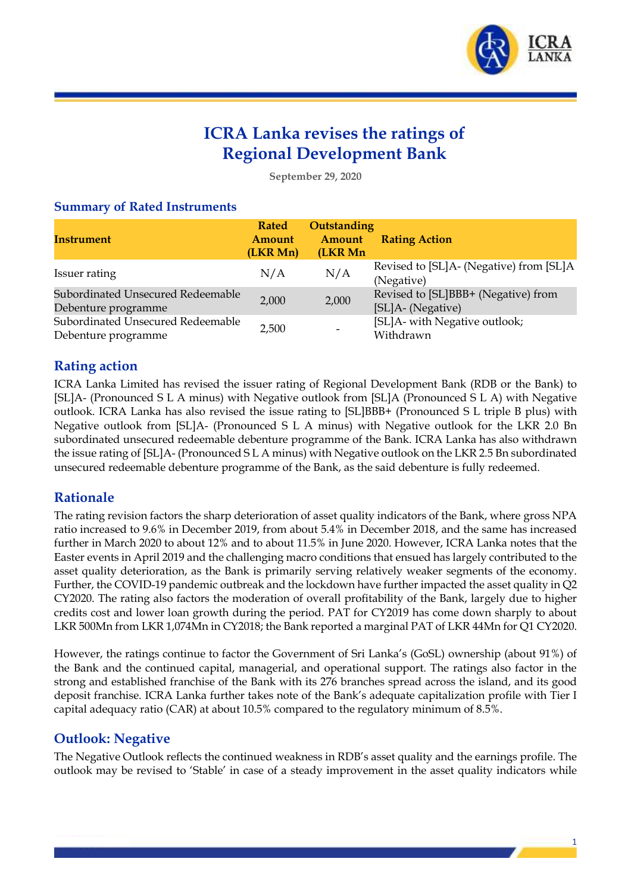

# **ICRA Lanka revises the ratings of Regional Development Bank**

**September 29, 2020**

#### **Summary of Rated Instruments**

| <b>Instrument</b>                                        | <b>Rated</b><br><b>Amount</b><br>(LKR Mn) | Outstanding<br>Amount<br>(LKR Mn | <b>Rating Action</b>                                     |
|----------------------------------------------------------|-------------------------------------------|----------------------------------|----------------------------------------------------------|
| Issuer rating                                            | N/A                                       | N/A                              | Revised to [SL]A- (Negative) from [SL]A<br>(Negative)    |
| Subordinated Unsecured Redeemable<br>Debenture programme | 2,000                                     | 2,000                            | Revised to [SL]BBB+ (Negative) from<br>[SL]A- (Negative) |
| Subordinated Unsecured Redeemable<br>Debenture programme | 2,500                                     |                                  | [SL]A- with Negative outlook;<br>Withdrawn               |

## **Rating action**

ICRA Lanka Limited has revised the issuer rating of Regional Development Bank (RDB or the Bank) to [SL]A- (Pronounced S L A minus) with Negative outlook from [SL]A (Pronounced S L A) with Negative outlook. ICRA Lanka has also revised the issue rating to [SL]BBB+ (Pronounced S L triple B plus) with Negative outlook from [SL]A- (Pronounced S L A minus) with Negative outlook for the LKR 2.0 Bn subordinated unsecured redeemable debenture programme of the Bank. ICRA Lanka has also withdrawn the issue rating of [SL]A- (Pronounced S L A minus) with Negative outlook on the LKR 2.5 Bn subordinated unsecured redeemable debenture programme of the Bank, as the said debenture is fully redeemed.

### **Rationale**

The rating revision factors the sharp deterioration of asset quality indicators of the Bank, where gross NPA ratio increased to 9.6% in December 2019, from about 5.4% in December 2018, and the same has increased further in March 2020 to about 12% and to about 11.5% in June 2020. However, ICRA Lanka notes that the Easter events in April 2019 and the challenging macro conditions that ensued has largely contributed to the asset quality deterioration, as the Bank is primarily serving relatively weaker segments of the economy. Further, the COVID-19 pandemic outbreak and the lockdown have further impacted the asset quality in Q2 CY2020. The rating also factors the moderation of overall profitability of the Bank, largely due to higher credits cost and lower loan growth during the period. PAT for CY2019 has come down sharply to about LKR 500Mn from LKR 1,074Mn in CY2018; the Bank reported a marginal PAT of LKR 44Mn for Q1 CY2020.

However, the ratings continue to factor the Government of Sri Lanka's (GoSL) ownership (about 91%) of the Bank and the continued capital, managerial, and operational support. The ratings also factor in the strong and established franchise of the Bank with its 276 branches spread across the island, and its good deposit franchise. ICRA Lanka further takes note of the Bank's adequate capitalization profile with Tier I capital adequacy ratio (CAR) at about 10.5% compared to the regulatory minimum of 8.5%.

# **Outlook: Negative**

The Negative Outlook reflects the continued weakness in RDB's asset quality and the earnings profile. The outlook may be revised to 'Stable' in case of a steady improvement in the asset quality indicators while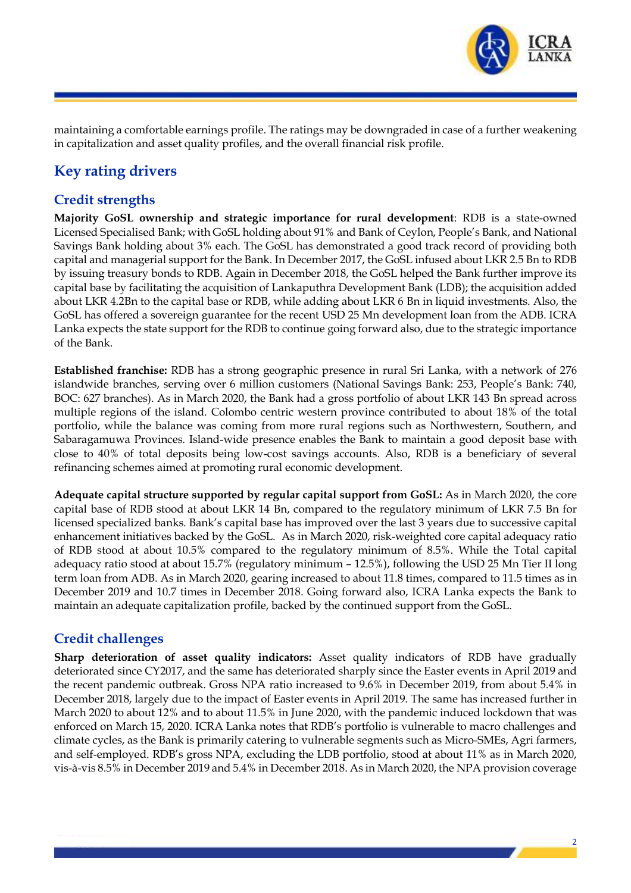

maintaining a comfortable earnings profile. The ratings may be downgraded in case of a further weakening in capitalization and asset quality profiles, and the overall financial risk profile.

# **Key rating drivers**

# **Credit strengths**

**Majority GoSL ownership and strategic importance for rural development**: RDB is a state-owned Licensed Specialised Bank; with GoSL holding about 91% and Bank of Ceylon, People's Bank, and National Savings Bank holding about 3% each. The GoSL has demonstrated a good track record of providing both capital and managerial support for the Bank. In December 2017, the GoSL infused about LKR 2.5 Bn to RDB by issuing treasury bonds to RDB. Again in December 2018, the GoSL helped the Bank further improve its capital base by facilitating the acquisition of Lankaputhra Development Bank (LDB); the acquisition added about LKR 4.2Bn to the capital base or RDB, while adding about LKR 6 Bn in liquid investments. Also, the GoSL has offered a sovereign guarantee for the recent USD 25 Mn development loan from the ADB. ICRA Lanka expects the state support for the RDB to continue going forward also, due to the strategic importance of the Bank.

**Established franchise:** RDB has a strong geographic presence in rural Sri Lanka, with a network of 276 islandwide branches, serving over 6 million customers (National Savings Bank: 253, People's Bank: 740, BOC: 627 branches). As in March 2020, the Bank had a gross portfolio of about LKR 143 Bn spread across multiple regions of the island. Colombo centric western province contributed to about 18% of the total portfolio, while the balance was coming from more rural regions such as Northwestern, Southern, and Sabaragamuwa Provinces. Island-wide presence enables the Bank to maintain a good deposit base with close to 40% of total deposits being low-cost savings accounts. Also, RDB is a beneficiary of several refinancing schemes aimed at promoting rural economic development.

**Adequate capital structure supported by regular capital support from GoSL:** As in March 2020, the core capital base of RDB stood at about LKR 14 Bn, compared to the regulatory minimum of LKR 7.5 Bn for licensed specialized banks. Bank's capital base has improved over the last 3 years due to successive capital enhancement initiatives backed by the GoSL. As in March 2020, risk-weighted core capital adequacy ratio of RDB stood at about 10.5% compared to the regulatory minimum of 8.5%. While the Total capital adequacy ratio stood at about 15.7% (regulatory minimum – 12.5%), following the USD 25 Mn Tier II long term loan from ADB. As in March 2020, gearing increased to about 11.8 times, compared to 11.5 times as in December 2019 and 10.7 times in December 2018. Going forward also, ICRA Lanka expects the Bank to maintain an adequate capitalization profile, backed by the continued support from the GoSL.

### **Credit challenges**

**Sharp deterioration of asset quality indicators:** Asset quality indicators of RDB have gradually deteriorated since CY2017, and the same has deteriorated sharply since the Easter events in April 2019 and the recent pandemic outbreak. Gross NPA ratio increased to 9.6% in December 2019, from about 5.4% in December 2018, largely due to the impact of Easter events in April 2019. The same has increased further in March 2020 to about 12% and to about 11.5% in June 2020, with the pandemic induced lockdown that was enforced on March 15, 2020. ICRA Lanka notes that RDB's portfolio is vulnerable to macro challenges and climate cycles, as the Bank is primarily catering to vulnerable segments such as Micro-SMEs, Agri farmers, and self-employed. RDB's gross NPA, excluding the LDB portfolio, stood at about 11% as in March 2020, vis-à-vis 8.5% in December 2019 and 5.4% in December 2018. As in March 2020, the NPA provision coverage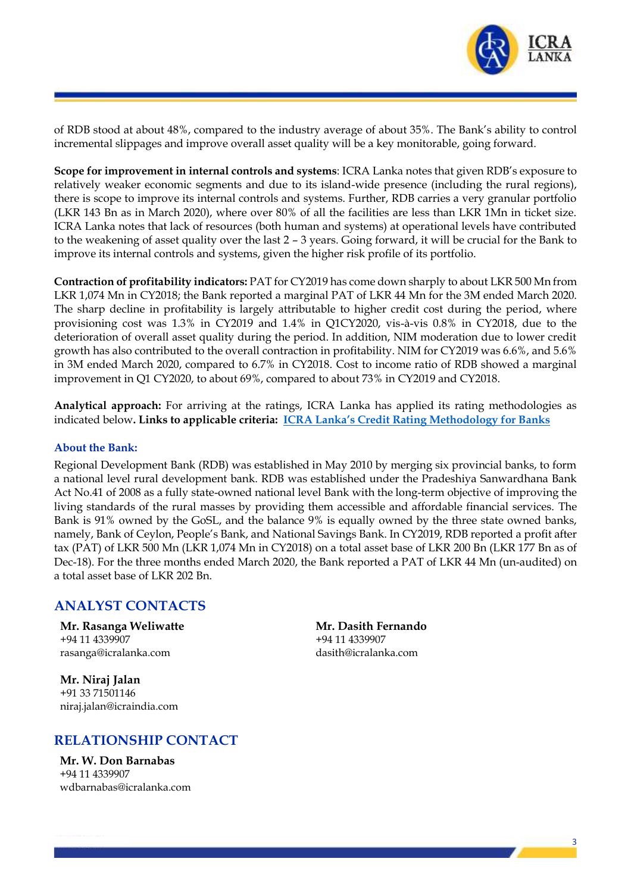

of RDB stood at about 48%, compared to the industry average of about 35%. The Bank's ability to control incremental slippages and improve overall asset quality will be a key monitorable, going forward.

**Scope for improvement in internal controls and systems**: ICRA Lanka notes that given RDB's exposure to relatively weaker economic segments and due to its island-wide presence (including the rural regions), there is scope to improve its internal controls and systems. Further, RDB carries a very granular portfolio (LKR 143 Bn as in March 2020), where over 80% of all the facilities are less than LKR 1Mn in ticket size. ICRA Lanka notes that lack of resources (both human and systems) at operational levels have contributed to the weakening of asset quality over the last 2 – 3 years. Going forward, it will be crucial for the Bank to improve its internal controls and systems, given the higher risk profile of its portfolio.

**Contraction of profitability indicators:** PAT for CY2019 has come down sharply to about LKR 500 Mn from LKR 1,074 Mn in CY2018; the Bank reported a marginal PAT of LKR 44 Mn for the 3M ended March 2020. The sharp decline in profitability is largely attributable to higher credit cost during the period, where provisioning cost was 1.3% in CY2019 and 1.4% in Q1CY2020, vis-à-vis 0.8% in CY2018, due to the deterioration of overall asset quality during the period. In addition, NIM moderation due to lower credit growth has also contributed to the overall contraction in profitability. NIM for CY2019 was 6.6%, and 5.6% in 3M ended March 2020, compared to 6.7% in CY2018. Cost to income ratio of RDB showed a marginal improvement in Q1 CY2020, to about 69%, compared to about 73% in CY2019 and CY2018.

**Analytical approach:** For arriving at the ratings, ICRA Lanka has applied its rating methodologies as indicated below**. Links to applicable criteria: ICRA Lanka's [Credit Rating Methodology for Banks](http://www.icralanka.com/images/pdf/Bank%20Rating%20Methadology.pdf)**

#### **About the Bank:**

Regional Development Bank (RDB) was established in May 2010 by merging six provincial banks, to form a national level rural development bank. RDB was established under the Pradeshiya Sanwardhana Bank Act No.41 of 2008 as a fully state-owned national level Bank with the long-term objective of improving the living standards of the rural masses by providing them accessible and affordable financial services. The Bank is 91% owned by the GoSL, and the balance 9% is equally owned by the three state owned banks, namely, Bank of Ceylon, People's Bank, and National Savings Bank. In CY2019, RDB reported a profit after tax (PAT) of LKR 500 Mn (LKR 1,074 Mn in CY2018) on a total asset base of LKR 200 Bn (LKR 177 Bn as of Dec-18). For the three months ended March 2020, the Bank reported a PAT of LKR 44 Mn (un-audited) on a total asset base of LKR 202 Bn.

### **ANALYST CONTACTS**

**Mr. Rasanga Weliwatte** +94 11 4339907 rasang[a@icralanka.com](mailto:subrata@icraindia.com)

**Mr. Dasith Fernando** +94 11 4339907 dasit[h@icralanka.com](mailto:subrata@icraindia.com)

**Mr. Niraj Jalan** +91 33 71501146 niraj.jala[n@icraindia.com](mailto:supriob@icraindia.com)

# **RELATIONSHIP CONTACT**

**Mr. W. Don Barnabas** +94 11 4339907 wdbarnaba[s@icralanka.com](mailto:subrata@icraindia.com)